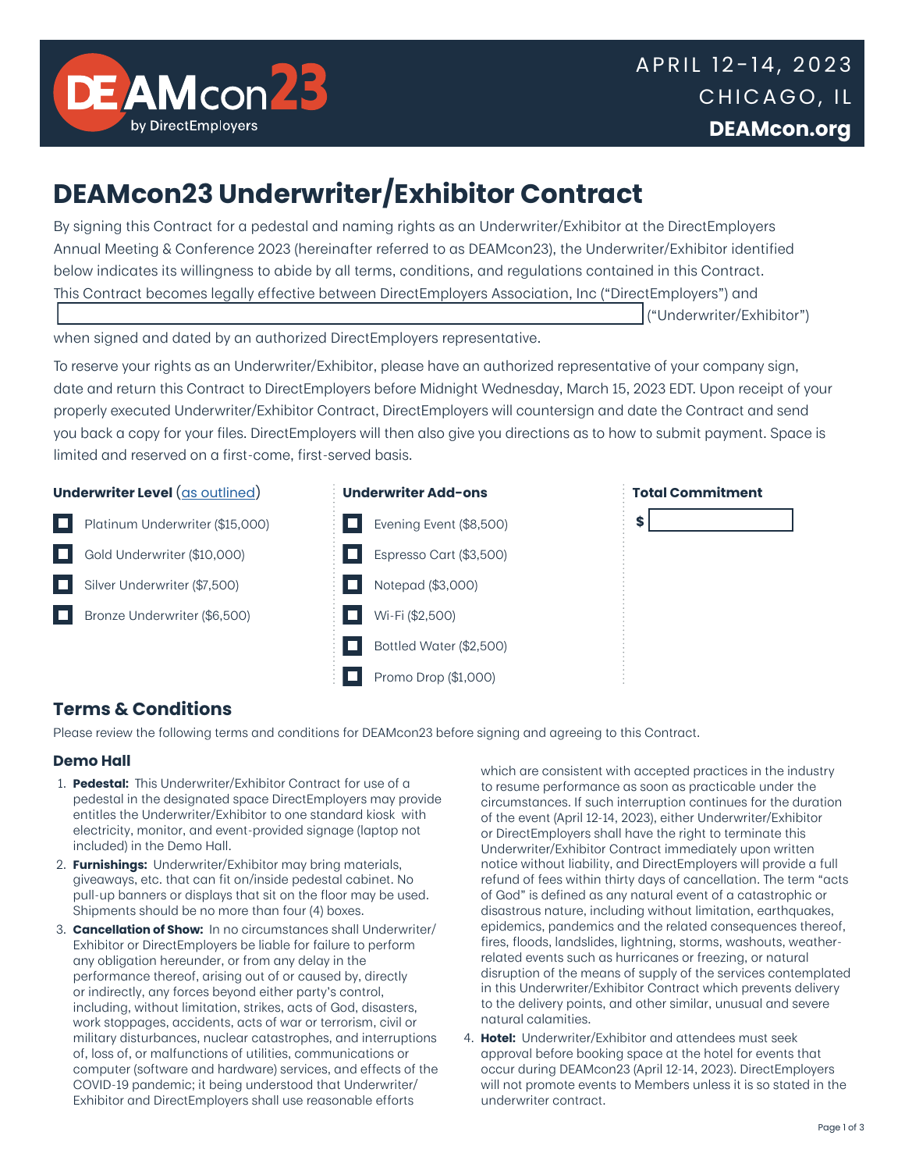

# **DEAMcon23 Underwriter/Exhibitor Contract**

By signing this Contract for a pedestal and naming rights as an Underwriter/Exhibitor at the DirectEmployers Annual Meeting & Conference 2023 (hereinafter referred to as DEAMcon23), the Underwriter/Exhibitor identified below indicates its willingness to abide by all terms, conditions, and regulations contained in this Contract. This Contract becomes legally effective between DirectEmployers Association, Inc ("DirectEmployers") and

("Underwriter/Exhibitor")

when signed and dated by an authorized DirectEmployers representative.

To reserve your rights as an Underwriter/Exhibitor, please have an authorized representative of your company sign, date and return this Contract to DirectEmployers before Midnight Wednesday, March 15, 2023 EDT. Upon receipt of your properly executed Underwriter/Exhibitor Contract, DirectEmployers will countersign and date the Contract and send you back a copy for your files. DirectEmployers will then also give you directions as to how to submit payment. Space is limited and reserved on a first-come, first-served basis.





# **Terms & Conditions**

Bronze Underwriter (\$6,500)

Please review the following terms and conditions for DEAMcon23 before signing and agreeing to this Contract.

Wi-Fi (\$2,500)

Bottled Water (\$2,500)

Promo Drop (\$1,000)

# **Demo Hall**

- 1. **Pedestal:** This Underwriter/Exhibitor Contract for use of a pedestal in the designated space DirectEmployers may provide entitles the Underwriter/Exhibitor to one standard kiosk with electricity, monitor, and event-provided signage (laptop not included) in the Demo Hall.
- 2. **Furnishings:** Underwriter/Exhibitor may bring materials, giveaways, etc. that can fit on/inside pedestal cabinet. No pull-up banners or displays that sit on the floor may be used. Shipments should be no more than four (4) boxes.
- 3. **Cancellation of Show:** In no circumstances shall Underwriter/ Exhibitor or DirectEmployers be liable for failure to perform any obligation hereunder, or from any delay in the performance thereof, arising out of or caused by, directly or indirectly, any forces beyond either party's control, including, without limitation, strikes, acts of God, disasters, work stoppages, accidents, acts of war or terrorism, civil or military disturbances, nuclear catastrophes, and interruptions of, loss of, or malfunctions of utilities, communications or computer (software and hardware) services, and effects of the COVID-19 pandemic; it being understood that Underwriter/ Exhibitor and DirectEmployers shall use reasonable efforts

which are consistent with accepted practices in the industry to resume performance as soon as practicable under the circumstances. If such interruption continues for the duration of the event (April 12-14, 2023), either Underwriter/Exhibitor or DirectEmployers shall have the right to terminate this Underwriter/Exhibitor Contract immediately upon written notice without liability, and DirectEmployers will provide a full refund of fees within thirty days of cancellation. The term "acts of God" is defined as any natural event of a catastrophic or disastrous nature, including without limitation, earthquakes, epidemics, pandemics and the related consequences thereof, fires, floods, landslides, lightning, storms, washouts, weatherrelated events such as hurricanes or freezing, or natural disruption of the means of supply of the services contemplated in this Underwriter/Exhibitor Contract which prevents delivery to the delivery points, and other similar, unusual and severe natural calamities.

4. **Hotel:** Underwriter/Exhibitor and attendees must seek approval before booking space at the hotel for events that occur during DEAMcon23 (April 12-14, 2023). DirectEmployers will not promote events to Members unless it is so stated in the underwriter contract.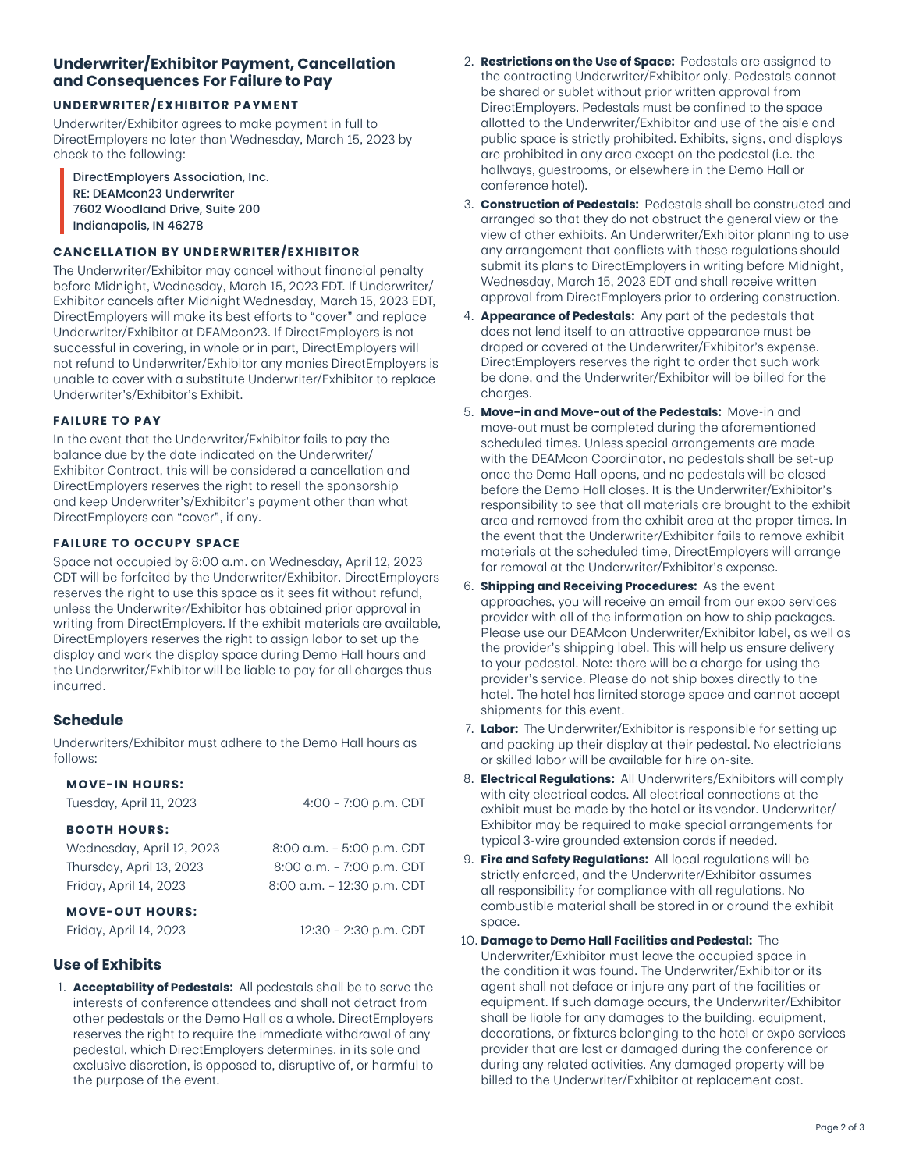# **Underwriter/Exhibitor Payment, Cancellation and Consequences For Failure to Pay**

#### **UNDERWRITER/EXHIBITOR PAYMENT**

Underwriter/Exhibitor agrees to make payment in full to DirectEmployers no later than Wednesday, March 15, 2023 by check to the following:

DirectEmployers Association, Inc. RE: DEAMcon23 Underwriter 7602 Woodland Drive, Suite 200 Indianapolis, IN 46278

#### **CANCELLATION BY UNDERWRITER/EXHIBITOR**

The Underwriter/Exhibitor may cancel without financial penalty before Midnight, Wednesday, March 15, 2023 EDT. If Underwriter/ Exhibitor cancels after Midnight Wednesday, March 15, 2023 EDT, DirectEmployers will make its best efforts to "cover" and replace Underwriter/Exhibitor at DEAMcon23. If DirectEmployers is not successful in covering, in whole or in part, DirectEmployers will not refund to Underwriter/Exhibitor any monies DirectEmployers is unable to cover with a substitute Underwriter/Exhibitor to replace Underwriter's/Exhibitor's Exhibit.

#### **FAILURE TO PAY**

In the event that the Underwriter/Exhibitor fails to pay the balance due by the date indicated on the Underwriter/ Exhibitor Contract, this will be considered a cancellation and DirectEmployers reserves the right to resell the sponsorship and keep Underwriter's/Exhibitor's payment other than what DirectEmployers can "cover", if any.

#### **FAILURE TO OCCUPY SPACE**

Space not occupied by 8:00 a.m. on Wednesday, April 12, 2023 CDT will be forfeited by the Underwriter/Exhibitor. DirectEmployers reserves the right to use this space as it sees fit without refund, unless the Underwriter/Exhibitor has obtained prior approval in writing from DirectEmployers. If the exhibit materials are available, DirectEmployers reserves the right to assign labor to set up the display and work the display space during Demo Hall hours and the Underwriter/Exhibitor will be liable to pay for all charges thus incurred.

# **Schedule**

Underwriters/Exhibitor must adhere to the Demo Hall hours as follows:

#### **MOVE-IN HOURS:**

| Tuesday, April 11, 2023   | $4:00 - 7:00$ p.m. CDT     |
|---------------------------|----------------------------|
| <b>BOOTH HOURS:</b>       |                            |
| Wednesday, April 12, 2023 | 8:00 a.m. - 5:00 p.m. CDT  |
| Thursday, April 13, 2023  | 8:00 a.m. - 7:00 p.m. CDT  |
| Friday, April 14, 2023    | 8:00 a.m. - 12:30 p.m. CDT |
| <b>MOVE-OUT HOURS:</b>    |                            |

Friday, April 14, 2023 12:30 – 2:30 p.m. CDT

**Use of Exhibits**

1. **Acceptability of Pedestals:** All pedestals shall be to serve the interests of conference attendees and shall not detract from other pedestals or the Demo Hall as a whole. DirectEmployers reserves the right to require the immediate withdrawal of any pedestal, which DirectEmployers determines, in its sole and exclusive discretion, is opposed to, disruptive of, or harmful to the purpose of the event.

- 2. **Restrictions on the Use of Space:** Pedestals are assigned to the contracting Underwriter/Exhibitor only. Pedestals cannot be shared or sublet without prior written approval from DirectEmployers. Pedestals must be confined to the space allotted to the Underwriter/Exhibitor and use of the aisle and public space is strictly prohibited. Exhibits, signs, and displays are prohibited in any area except on the pedestal (i.e. the hallways, guestrooms, or elsewhere in the Demo Hall or conference hotel).
- 3. **Construction of Pedestals:** Pedestals shall be constructed and arranged so that they do not obstruct the general view or the view of other exhibits. An Underwriter/Exhibitor planning to use any arrangement that conflicts with these regulations should submit its plans to DirectEmployers in writing before Midnight, Wednesday, March 15, 2023 EDT and shall receive written approval from DirectEmployers prior to ordering construction.
- 4. **Appearance of Pedestals:** Any part of the pedestals that does not lend itself to an attractive appearance must be draped or covered at the Underwriter/Exhibitor's expense. DirectEmployers reserves the right to order that such work be done, and the Underwriter/Exhibitor will be billed for the charges.
- 5. **Move-in and Move-out of the Pedestals:** Move-in and move-out must be completed during the aforementioned scheduled times. Unless special arrangements are made with the DEAMcon Coordinator, no pedestals shall be set-up once the Demo Hall opens, and no pedestals will be closed before the Demo Hall closes. It is the Underwriter/Exhibitor's responsibility to see that all materials are brought to the exhibit area and removed from the exhibit area at the proper times. In the event that the Underwriter/Exhibitor fails to remove exhibit materials at the scheduled time, DirectEmployers will arrange for removal at the Underwriter/Exhibitor's expense.
- 6. **Shipping and Receiving Procedures:** As the event approaches, you will receive an email from our expo services provider with all of the information on how to ship packages. Please use our DEAMcon Underwriter/Exhibitor label, as well as the provider's shipping label. This will help us ensure delivery to your pedestal. Note: there will be a charge for using the provider's service. Please do not ship boxes directly to the hotel. The hotel has limited storage space and cannot accept shipments for this event.
- 7. **Labor:** The Underwriter/Exhibitor is responsible for setting up and packing up their display at their pedestal. No electricians or skilled labor will be available for hire on-site.
- 8. **Electrical Regulations:** All Underwriters/Exhibitors will comply with city electrical codes. All electrical connections at the exhibit must be made by the hotel or its vendor. Underwriter/ Exhibitor may be required to make special arrangements for typical 3-wire grounded extension cords if needed.
- 9. **Fire and Safety Regulations:** All local regulations will be strictly enforced, and the Underwriter/Exhibitor assumes all responsibility for compliance with all regulations. No combustible material shall be stored in or around the exhibit space.
- 10. **Damage to Demo Hall Facilities and Pedestal:** The Underwriter/Exhibitor must leave the occupied space in the condition it was found. The Underwriter/Exhibitor or its agent shall not deface or injure any part of the facilities or equipment. If such damage occurs, the Underwriter/Exhibitor shall be liable for any damages to the building, equipment, decorations, or fixtures belonging to the hotel or expo services provider that are lost or damaged during the conference or during any related activities. Any damaged property will be billed to the Underwriter/Exhibitor at replacement cost.